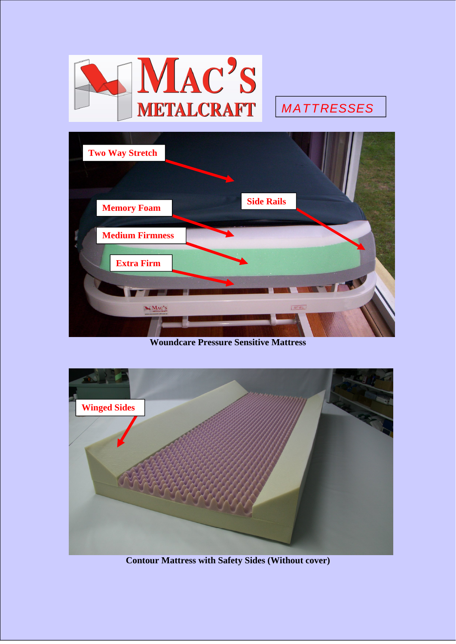

# *MATTRESSES*



**Woundcare Pressure Sensitive Mattress**



**Contour Mattress with Safety Sides (Without cover)**